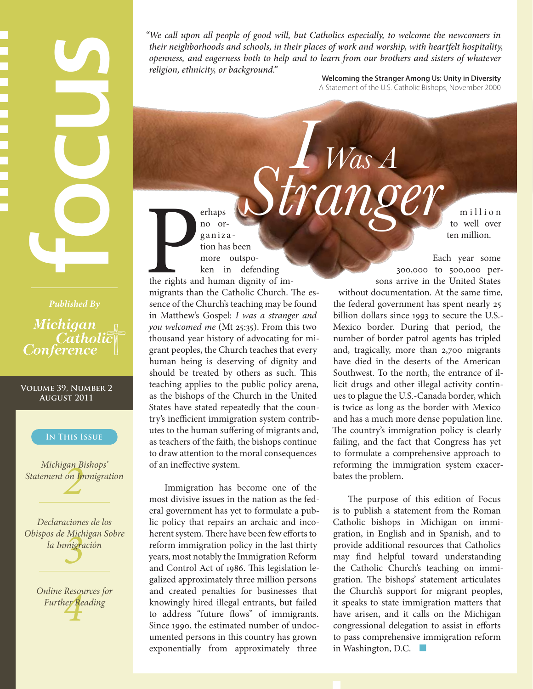# **Fublished By**<br> **Fublished By**<br> **Michigan**<br> **Catholic**<br> **Catholic**<br> **Catholic**<br> **Conference**<br> **CONFIDER SUGGER AUGUST 2011**<br> **IN THIS ISSUE**<br>
Michigan Bishops'<br> **CONFIDER SUGGER AUGUST 2011**<br> **Declaraciones de lo.**<br> **Decla**

*Published By* Michigan Catholic **Conference** 

### **Volume 39, Number 2 August 2011**

### **In This Issue**

*2*<br>*2*<br>*2*<br>*2 Michigan Bishops' Statement on Immigration*

*Micr*<br>migro *Declaraciones de los Obispos de Michigan Sobre la Inmigración*

> *Further Reading Online Resources for*

*"We call upon all people of good will, but Catholics especially, to welcome the newcomers in their neighborhoods and schools, in their places of work and worship, with heartfelt hospitality, openness, and eagerness both to help and to learn from our brothers and sisters of whatever religion, ethnicity, or background."*

*I Was A Stranger*

Welcoming the Stranger Among Us: Unity in Diversity A Statement of the U.S. Catholic Bishops, November 2000

> m illion to well over ten million.

The rights and migrants that ganiza tion has been more outspoken in defending the rights and human dignity of immigrants than the Catholic Church. The essence of the Church's teaching may be found in Matthew's Gospel: *I was a stranger and you welcomed me* (Mt 25:35). From this two thousand year history of advocating for migrant peoples, the Church teaches that every human being is deserving of dignity and should be treated by others as such. This teaching applies to the public policy arena, as the bishops of the Church in the United States have stated repeatedly that the country's inefficient immigration system contributes to the human suffering of migrants and, as teachers of the faith, the bishops continue to draw attention to the moral consequences of an ineffective system.

erhaps no or-

Immigration has become one of the most divisive issues in the nation as the federal government has yet to formulate a public policy that repairs an archaic and incoherent system. There have been few efforts to reform immigration policy in the last thirty years, most notably the Immigration Reform and Control Act of 1986. This legislation legalized approximately three million persons and created penalties for businesses that knowingly hired illegal entrants, but failed to address "future flows" of immigrants. Since 1990, the estimated number of undocumented persons in this country has grown exponentially from approximately three

Each year some 300,000 to 500,000 persons arrive in the United States without documentation. At the same time, the federal government has spent nearly 25 billion dollars since 1993 to secure the U.S.- Mexico border. During that period, the number of border patrol agents has tripled and, tragically, more than 2,700 migrants have died in the deserts of the American Southwest. To the north, the entrance of illicit drugs and other illegal activity continues to plague the U.S.-Canada border, which is twice as long as the border with Mexico and has a much more dense population line. The country's immigration policy is clearly failing, and the fact that Congress has yet to formulate a comprehensive approach to reforming the immigration system exacerbates the problem.

The purpose of this edition of Focus is to publish a statement from the Roman Catholic bishops in Michigan on immigration, in English and in Spanish, and to provide additional resources that Catholics may find helpful toward understanding the Catholic Church's teaching on immigration. The bishops' statement articulates the Church's support for migrant peoples, it speaks to state immigration matters that have arisen, and it calls on the Michigan congressional delegation to assist in efforts to pass comprehensive immigration reform in Washington, D.C. ■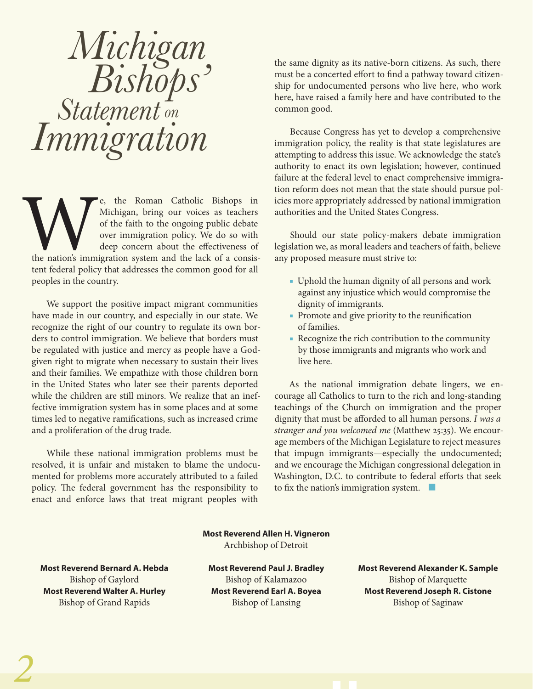# *Michigan Bishops' Statement on Immigration*

Example 18 and Technology of the Roman Catholic Bishops in Michigan, bring our voices as teachers of the faith to the ongoing public debate over immigration policy. We do so with deep concern about the effectiveness of the Michigan, bring our voices as teachers of the faith to the ongoing public debate over immigration policy. We do so with deep concern about the effectiveness of the nation's immigration system and the lack of a consistent federal policy that addresses the common good for all peoples in the country.

We support the positive impact migrant communities have made in our country, and especially in our state. We recognize the right of our country to regulate its own borders to control immigration. We believe that borders must be regulated with justice and mercy as people have a Godgiven right to migrate when necessary to sustain their lives and their families. We empathize with those children born in the United States who later see their parents deported while the children are still minors. We realize that an ineffective immigration system has in some places and at some times led to negative ramifications, such as increased crime and a proliferation of the drug trade.

While these national immigration problems must be resolved, it is unfair and mistaken to blame the undocumented for problems more accurately attributed to a failed policy. The federal government has the responsibility to enact and enforce laws that treat migrant peoples with

the same dignity as its native-born citizens. As such, there must be a concerted effort to find a pathway toward citizenship for undocumented persons who live here, who work here, have raised a family here and have contributed to the common good.

Because Congress has yet to develop a comprehensive immigration policy, the reality is that state legislatures are attempting to address this issue. We acknowledge the state's authority to enact its own legislation; however, continued failure at the federal level to enact comprehensive immigration reform does not mean that the state should pursue policies more appropriately addressed by national immigration authorities and the United States Congress.

Should our state policy-makers debate immigration legislation we, as moral leaders and teachers of faith, believe any proposed measure must strive to:

- Uphold the human dignity of all persons and work against any injustice which would compromise the dignity of immigrants.
- Promote and give priority to the reunification of families.
- Recognize the rich contribution to the community by those immigrants and migrants who work and live here.

As the national immigration debate lingers, we encourage all Catholics to turn to the rich and long-standing teachings of the Church on immigration and the proper dignity that must be afforded to all human persons. *I was a stranger and you welcomed me* (Matthew 25:35). We encourage members of the Michigan Legislature to reject measures that impugn immigrants—especially the undocumented; and we encourage the Michigan congressional delegation in Washington, D.C. to contribute to federal efforts that seek to fix the nation's immigration system. ■

**Most Reverend Allen H. Vigneron** Archbishop of Detroit

**Most Reverend Bernard A. Hebda** Bishop of Gaylord **Most Reverend Walter A. Hurley** Bishop of Grand Rapids

**Most Reverend Paul J. Bradley** Bishop of Kalamazoo **Most Reverend Earl A. Boyea** Bishop of Lansing

**Most Reverend Alexander K. Sample** Bishop of Marquette **Most Reverend Joseph R. Cistone** Bishop of Saginaw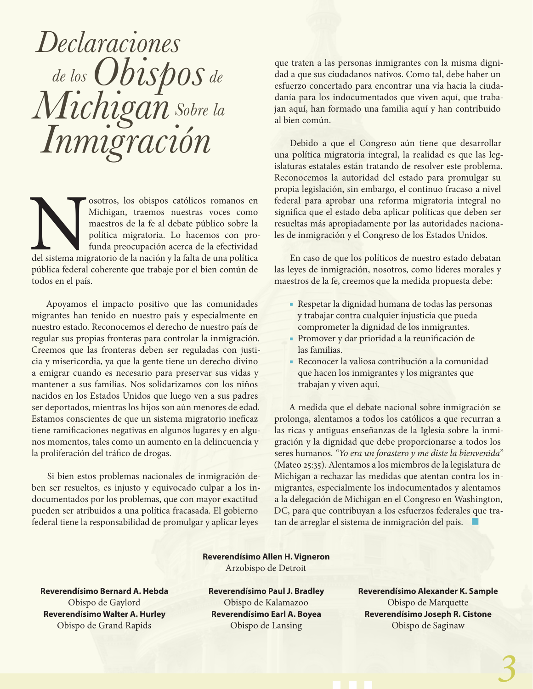*Declaraciones de los Obispos de Michigan Sobre la Inmigración*

Sosotros, los obispos católicos romanos en Michigan, traemos nuestras voces como maestros de la fe al debate público sobre la política migratoria. Lo hacemos con pro-<br>funda preocupación acerca de la efectividad del sistema Michigan, traemos nuestras voces como maestros de la fe al debate público sobre la política migratoria. Lo hacemos con profunda preocupación acerca de la efectividad del sistema migratorio de la nación y la falta de una política pública federal coherente que trabaje por el bien común de todos en el país.

Apoyamos el impacto positivo que las comunidades migrantes han tenido en nuestro país y especialmente en nuestro estado. Reconocemos el derecho de nuestro país de regular sus propias fronteras para controlar la inmigración. Creemos que las fronteras deben ser reguladas con justicia y misericordia, ya que la gente tiene un derecho divino a emigrar cuando es necesario para preservar sus vidas y mantener a sus familias. Nos solidarizamos con los niños nacidos en los Estados Unidos que luego ven a sus padres ser deportados, mientras los hijos son aún menores de edad. Estamos conscientes de que un sistema migratorio ineficaz tiene ramificaciones negativas en algunos lugares y en algunos momentos, tales como un aumento en la delincuencia y la proliferación del tráfico de drogas.

Si bien estos problemas nacionales de inmigración deben ser resueltos, es injusto y equivocado culpar a los indocumentados por los problemas, que con mayor exactitud pueden ser atribuidos a una política fracasada. El gobierno federal tiene la responsabilidad de promulgar y aplicar leyes

que traten a las personas inmigrantes con la misma dignidad a que sus ciudadanos nativos. Como tal, debe haber un esfuerzo concertado para encontrar una vía hacia la ciudadanía para los indocumentados que viven aquí, que trabajan aquí, han formado una familia aquí y han contribuido al bien común.

Debido a que el Congreso aún tiene que desarrollar una política migratoria integral, la realidad es que las legislaturas estatales están tratando de resolver este problema. Reconocemos la autoridad del estado para promulgar su propia legislación, sin embargo, el continuo fracaso a nivel federal para aprobar una reforma migratoria integral no significa que el estado deba aplicar políticas que deben ser resueltas más apropiadamente por las autoridades nacionales de inmigración y el Congreso de los Estados Unidos.

En caso de que los políticos de nuestro estado debatan las leyes de inmigración, nosotros, como líderes morales y maestros de la fe, creemos que la medida propuesta debe:

- Respetar la dignidad humana de todas las personas y trabajar contra cualquier injusticia que pueda comprometer la dignidad de los inmigrantes.
- Promover y dar prioridad a la reunificación de las familias.
- Reconocer la valiosa contribución a la comunidad que hacen los inmigrantes y los migrantes que trabajan y viven aquí.

A medida que el debate nacional sobre inmigración se prolonga, alentamos a todos los católicos a que recurran a las ricas y antiguas enseñanzas de la Iglesia sobre la inmigración y la dignidad que debe proporcionarse a todos los seres humanos. *"Yo era un forastero y me diste la bienvenida"*  (Mateo 25:35). Alentamos a los miembros de la legislatura de Michigan a rechazar las medidas que atentan contra los inmigrantes, especialmente los indocumentados y alentamos a la delegación de Michigan en el Congreso en Washington, DC, para que contribuyan a los esfuerzos federales que tratan de arreglar el sistema de inmigración del país. |

# **Reverendísimo Allen H. Vigneron** Arzobispo de Detroit

**Reverendísimo Bernard A. Hebda** Obispo de Gaylord **Reverendísimo Walter A. Hurley**

Obispo de Grand Rapids

**Reverendísimo Paul J. Bradley** Obispo de Kalamazoo **Reverendísimo Earl A. Boyea** Obispo de Lansing

**Reverendísimo Alexander K. Sample** Obispo de Marquette **Reverendísimo Joseph R. Cistone** Obispo de Saginaw